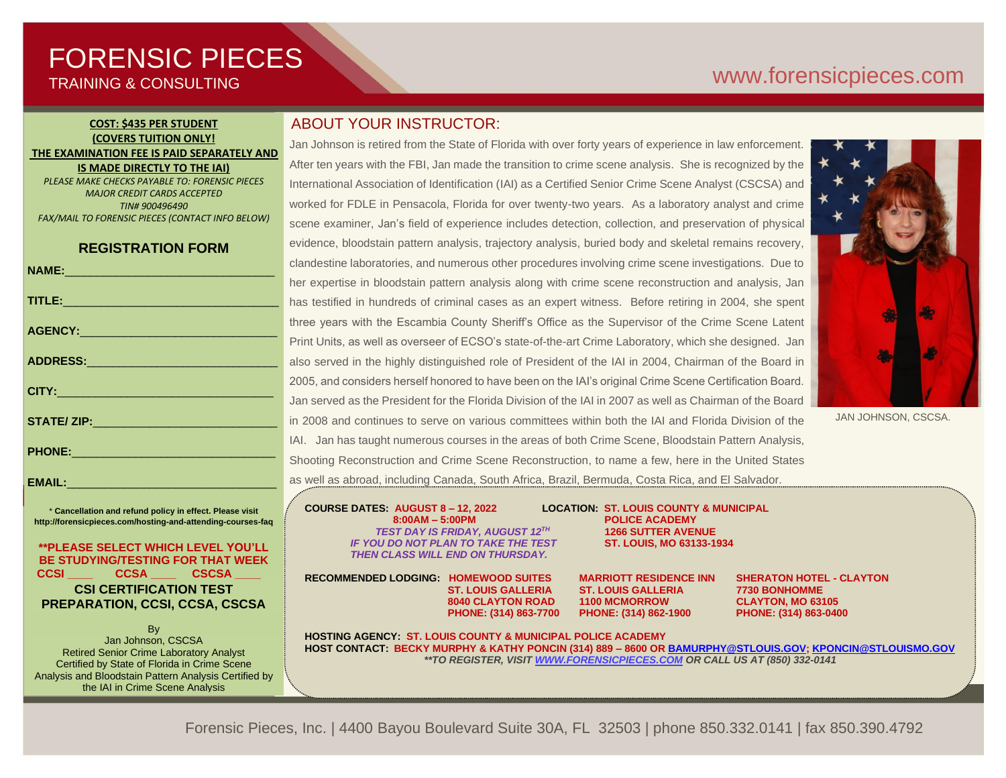# FORENSIC PIECES TRAINING & CONSULTING

# [www.forensicp](http://www.forensic/)ieces.com

### **COST: \$435 PER STUDENT (COVERS TUITION ONLY! THE EXAMINATION FEE IS PAID SEPARATELY AND IS MADE DIRECTLY TO THE IAI)**

*PLEASE MAKE CHECKS PAYABLE TO: FORENSIC PIECES MAJOR CREDIT CARDS ACCEPTED TIN# 900496490 FAX/MAIL TO FORENSIC PIECES (CONTACT INFO BELOW)*

## **REGISTRATION FORM**

|                                                                                                                                                                                                                                | ◡              |
|--------------------------------------------------------------------------------------------------------------------------------------------------------------------------------------------------------------------------------|----------------|
|                                                                                                                                                                                                                                | h              |
| TITLE: Production of the contract of the contract of the contract of the contract of the contract of the contract of the contract of the contract of the contract of the contract of the contract of the contract of the contr | $\mathsf{h}$   |
| AGENCY: ACCOUNT AND ACCOUNT ACCOUNT ACCOUNT AND ACCOUNT ACCOUNT ACCOUNT ACCOUNT ACCOUNT ACCOUNT ACCOUNT ACCOUNT ACCOUNT ACCOUNT ACCOUNT ACCOUNT ACCOUNT ACCOUNT ACCOUNT ACCOUNT ACCOUNT ACCOUNT ACCOUNT ACCOUNT ACCOUNT ACCOUN | tł             |
|                                                                                                                                                                                                                                | P              |
|                                                                                                                                                                                                                                | a              |
|                                                                                                                                                                                                                                | $\overline{2}$ |
|                                                                                                                                                                                                                                | J              |
|                                                                                                                                                                                                                                | ir             |
|                                                                                                                                                                                                                                | $\overline{L}$ |
| PHONE: 2008 2010 2010 2021 2022 2023 2024 2022 2023 2024 2022 2023 2024 2022 2023 2024 2022 2023 2024 2022 20                                                                                                                  | S              |
| EMAIL: <b>Allan Angle</b>                                                                                                                                                                                                      | a              |

\* **Cancellation and refund policy in effect. Please visit http://forensicpieces.com/hosting-and-attending-courses-faq**

### **\*\*PLEASE SELECT WHICH LEVEL YOU'LL BE STUDYING/TESTING FOR THAT WEEK CCSI \_\_\_\_ CCSA \_\_\_\_ CSCSA \_\_\_\_ CSI CERTIFICATION TEST PREPARATION, CCSI, CCSA, CSCSA**

By Jan Johnson, CSCSA Retired Senior Crime Laboratory Analyst Certified by State of Florida in Crime Scene Analysis and Bloodstain Pattern Analysis Certified by the IAI in Crime Scene Analysis

President of Forensic Pieces, Inc.

# ABOUT YOUR INSTRUCTOR:

Jan Johnson is retired from the State of Florida with over forty years of experience in law enforcement. After ten years with the FBI, Jan made the transition to crime scene analysis. She is recognized by the International Association of Identification (IAI) as a Certified Senior Crime Scene Analyst (CSCSA) and worked for FDLE in Pensacola, Florida for over twenty-two years. As a laboratory analyst and crime scene examiner, Jan's field of experience includes detection, collection, and preservation of physical evidence, bloodstain pattern analysis, trajectory analysis, buried body and skeletal remains recovery, clandestine laboratories, and numerous other procedures involving crime scene investigations. Due to her expertise in bloodstain pattern analysis along with crime scene reconstruction and analysis, Jan has testified in hundreds of criminal cases as an expert witness. Before retiring in 2004, she spent hree years with the Escambia County Sheriff's Office as the Supervisor of the Crime Scene Latent Print Units, as well as overseer of ECSO's state-of-the-art Crime Laboratory, which she designed. Jan also served in the highly distinguished role of President of the IAI in 2004, Chairman of the Board in 2005, and considers herself honored to have been on the IAI's original Crime Scene Certification Board. Jan served as the President for the Florida Division of the IAI in 2007 as well as Chairman of the Board n 2008 and continues to serve on various committees within both the IAI and Florida Division of the AI. Jan has taught numerous courses in the areas of both Crime Scene, Bloodstain Pattern Analysis, Shooting Reconstruction and Crime Scene Reconstruction, to name a few, here in the United States as well as abroad, including Canada, South Africa, Brazil, Bermuda, Costa Rica, and El Salvador.

帅 Æ

JAN JOHNSON, CSCSA.

**COURSE DATES: AUGUST 8 – 12, 2022 LOCATION: ST. LOUIS COUNTY & MUNICIPAL**

 *TEST DAY IS FRIDAY, AUGUST 12TH IF YOU DO NOT PLAN TO TAKE THE TEST* **ST. LOUIS, MO 63133-1934** *THEN CLASS WILL END ON THURSDAY.*

**8040 CLAYTON ROAD** 

**8:00AM – 5:00PM POLICE ACADEMY** **1266 SUTTER AVENUE**

**RECOMMENDED LODGING: HOMEWOOD SUITES MARRIOTT RESIDENCE INN SHERATON HOTEL - CLAYTON**

**ST. LOUIS GALLERIA ST. LOUIS GALLERIA 7730 BONHOMME**<br>
8040 CLAYTON ROAD 1100 MCMORROW CLAYTON. MO 63105  **PHONE: (314) 863-7700 PHONE: (314) 862-1900 PHONE: (314) 863-0400**

**HOSTING AGENCY: ST. LOUIS COUNTY & MUNICIPAL POLICE ACADEMY HOST CONTACT: BECKY MURPHY & KATHY PONCIN (314) 889 – 8600 O[R BAMURPHY@STLOUIS.GOV;](mailto:BAMURPHY@STLOUIS.GOV) [KPONCIN@STLOUISMO.GOV](mailto:KPONCIN@STLOUISMO.GOV)** *\*\*TO REGISTER, VISIT [WWW.FORENSICPIECES.COM](http://www.forensicpieces.com/) OR CALL US AT (850) 332-0141*

Forensic Pieces, Inc. | 4400 Bayou Boulevard Suite 30A, FL 32503 | phone 850.332.0141 | fax 850.390.4792